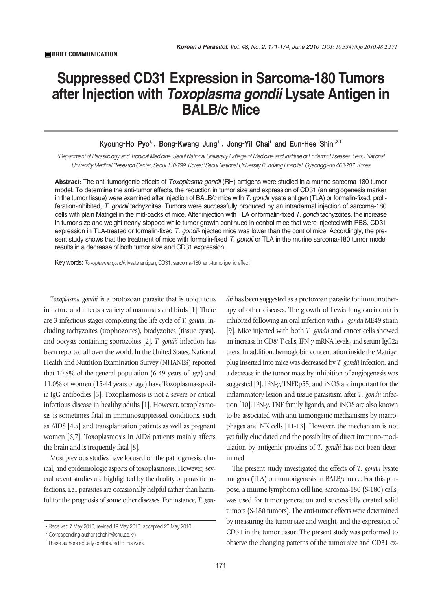## **Suppressed CD31 Expression in Sarcoma-180 Tumors after Injection with** *Toxoplasma gondii* **Lysate Antigen in BALB/c Mice**

## Kyoung-Ho Pyo<sup>1,</sup>', Bong-Kwang Jung<sup>1,</sup>', Jong-Yil Chai<sup>l</sup> and Eun-Hee Shin<sup>1,2,</sup>\*

*1 Department of Parasitology and Tropical Medicine, Seoul National University College of Medicine and Institute of Endemic Diseases, Seoul National University Medical Research Center, Seoul 110-799, Korea; 2 Seoul National University Bundang Hospital, Gyeonggi-do 463-707, Korea*

**Abstract:** The anti-tumorigenic effects of *Toxoplasma gondii* (RH) antigens were studied in a murine sarcoma-180 tumor model. To determine the anti-tumor effects, the reduction in tumor size and expression of CD31 (an angiogenesis marker in the tumor tissue) were examined after injection of BALB/c mice with *T. gondii* lysate antigen (TLA) or formalin-fixed, proliferation-inhibited, *T. gondii* tachyzoites. Tumors were successfully produced by an intradermal injection of sarcoma-180 cells with plain Matrigel in the mid-backs of mice. After injection with TLA or formalin-fixed *T. gondii* tachyzoites, the increase in tumor size and weight nearly stopped while tumor growth continued in control mice that were injected with PBS. CD31 expression in TLA-treated or formalin-fixed *T. gondii*-injected mice was lower than the control mice. Accordingly, the present study shows that the treatment of mice with formalin-fixed *T. gondii* or TLA in the murine sarcoma-180 tumor model results in a decrease of both tumor size and CD31 expression.

Key words: *Toxoplasma gondii*, lysate antigen, CD31, sarcoma-180, anti-tumorigenic effect

*Toxoplasma gondii* is a protozoan parasite that is ubiquitous in nature and infects a variety of mammals and birds [1]. There are 3 infectious stages completing the life cycle of *T. gondii*, including tachyzoites (trophozoites), bradyzoites (tissue cysts), and oocysts containing sporozoites [2]. *T. gondii* infection has been reported all over the world. In the United States, National Health and Nutrition Examination Survey (NHANES) reported that 10.8% of the general population (6-49 years of age) and 11.0% of women (15-44 years of age) have Toxoplasma-specific IgG antibodies [3]. Toxoplasmosis is not a severe or critical infectious disease in healthy adults [1]. However, toxoplasmosis is sometimes fatal in immunosuppressed conditions, such as AIDS [4,5] and transplantation patients as well as pregnant women [6,7]. Toxoplasmosis in AIDS patients mainly affects the brain and is frequently fatal [8].

Most previous studies have focused on the pathogenesis, clinical, and epidemiologic aspects of toxoplasmosis. However, several recent studies are highlighted by the duality of parasitic infections, i.e., parasites are occasionally helpful rather than harmful for the prognosis of some other diseases. For instance, *T. gon-* *dii* has been suggested as a protozoan parasite for immunotherapy of other diseases. The growth of Lewis lung carcinoma is inhibited following an oral infection with *T. gondii* ME49 strain [9]. Mice injected with both *T. gondii* and cancer cells showed an increase in CD8<sup>+</sup> T-cells, IFN- $\gamma$  mRNA levels, and serum IgG2a titers. In addition, hemoglobin concentration inside the Matrigel plug inserted into mice was decreased by *T. gondii* infection, and a decrease in the tumor mass by inhibition of angiogenesis was suggested [9]. IFN- $\gamma$ , TNFRp55, and iNOS are important for the inflammatory lesion and tissue parasitism after *T. gondii* infection [10]. IFN- $\gamma$ , TNF family ligands, and iNOS are also known to be associated with anti-tumorigenic mechanisms by macrophages and NK cells [11-13]. However, the mechanism is not yet fully elucidated and the possibility of direct immuno-modulation by antigenic proteins of *T. gondii* has not been determined.

The present study investigated the effects of *T. gondii* lysate antigens (TLA) on tumorigenesis in BALB/c mice. For this purpose, a murine lymphoma cell line, sarcoma-180 (S-180) cells, was used for tumor generation and successfully created solid tumors (S-180 tumors). The anti-tumor effects were determined by measuring the tumor size and weight, and the expression of CD31 in the tumor tissue. The present study was performed to observe the changing patterns of the tumor size and CD31 ex-

<sup>•</sup> Received 7 May 2010, revised 19 May 2010, accepted 20 May 2010.

<sup>\*</sup> Corresponding author (ehshin@snu.ac.kr)

<sup>&</sup>lt;sup>†</sup> These authors equally contributed to this work.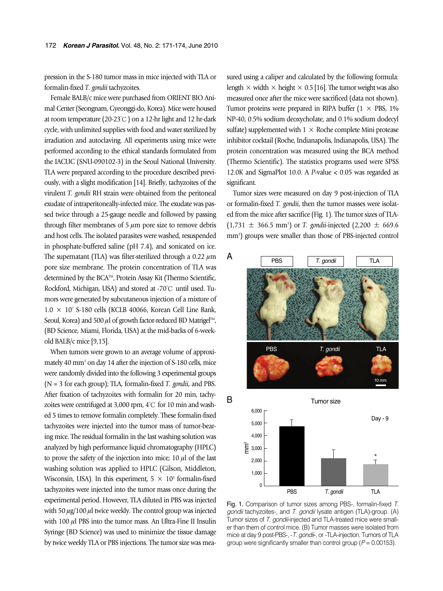pression in the S-180 tumor mass in mice injected with TLA or formalin-fixed *T. gondii* tachyzoites.

Female BALB/c mice were purchased from ORIENT BIO Animal Center (Seongnam, Gyeonggi-do, Korea). Mice were housed at room temperature (20-23℃) on a 12-hr light and 12 hr-dark cycle, with unlimited supplies with food and water sterilized by irradiation and autoclaving. All experiments using mice were performed according to the ethical standards formulated from the IACUC (SNU-090102-3) in the Seoul National University. TLA were prepared according to the procedure described previously, with a slight modification [14]. Briefly, tachyzoites of the virulent *T. gondii* RH strain were obtained from the peritoneal exudate of intraperitoneally-infected mice. The exudate was passed twice through a 25-gauge needle and followed by passing through filter membranes of  $5 \mu m$  pore size to remove debris and host cells. The isolated parasites were washed, resuspended in phosphate-buffered saline (pH 7.4), and sonicated on ice. The supernatant (TLA) was filter-sterilized through a 0.22  $\mu$ m pore size membrane. The protein concentration of TLA was determined by the BCA™, Protein Assay Kit (Thermo Scientific, Rockford, Michigan, USA) and stored at -70℃ until used. Tumors were generated by subcutaneous injection of a mixture of  $1.0 \times 10^7$  S-180 cells (KCLB 40066, Korean Cell Line Bank, Seoul, Korea) and 500  $\mu$ l of growth factor-reduced BD Matrigel<sup>TM</sup>, (BD Science, Miami, Florida, USA) at the mid-backs of 6-weekold BALB/c mice [9,15].

When tumors were grown to an average volume of approximately 40 mm<sup>3</sup> on day 14 after the injection of S-180 cells, mice were randomly divided into the following 3 experimental groups (N = 3 for each group); TLA, formalin-fixed *T. gondii*, and PBS. After fixation of tachyzoites with formalin for 20 min, tachyzoites were centrifuged at 3,000 rpm, 4℃ for 10 min and washed 5 times to remove formalin completely. These formalin-fixed tachyzoites were injected into the tumor mass of tumor-bearing mice. The residual formalin in the last washing solution was analyzed by high performance liquid chromatography (HPLC) to prove the safety of the injection into mice;  $10 \mu l$  of the last washing solution was applied to HPLC (Gilson, Middleton, Wisconsin, USA). In this experiment,  $5 \times 10^5$  formalin-fixed tachyzoites were injected into the tumor mass once during the experimental period. However, TLA diluted in PBS was injected with 50  $\mu$ g/100  $\mu$ l twice weekly. The control group was injected with  $100 \mu$ l PBS into the tumor mass. An Ultra-Fine II Insulin Syringe (BD Science) was used to minimize the tissue damage by twice weekly TLA or PBS injections. The tumor size was measured using a caliper and calculated by the following formula: length  $\times$  width  $\times$  height  $\times$  0.5 [16]. The tumor weight was also measured once after the mice were sacrificed (data not shown). Tumor proteins were prepared in RIPA buffer ( $1 \times$  PBS,  $1\%$ NP-40, 0.5% sodium deoxycholate, and 0.1% sodium dodecyl sulfate) supplemented with  $1 \times$  Roche complete Mini protease inhibitor cocktail (Roche, Indianapolis, Indianapolis, USA). The protein concentration was measured using the BCA method (Thermo Scientific). The statistics programs used were SPSS 12.0K and SigmaPlot 10.0. A *P*-value < 0.05 was regarded as significant.

Tumor sizes were measured on day 9 post-injection of TLA or formalin-fixed *T. gondii*, then the tumor masses were isolated from the mice after sacrifice (Fig. 1). The tumor sizes of TLA-  $(1,731 \pm 366.5 \text{ mm}^3)$  or *T. gondii*-injected  $(2,200 \pm 669.6 \text{ mm}^3)$ mm<sup>3</sup>) groups were smaller than those of PBS-injected control



Fig. 1. Comparison of tumor sizes among PBS-, formalin-fixed *T. gondii* tachyzoites-, and *T. gondii* lysate antigen (TLA)-group. (A) Tumor sizes of *T. gondii*-injected and TLA-treated mice were smaller than them of control mice. (B) Tumor masses were isolated from mice at day 9 post-PBS-, -*T. gondii*-, or -TLA-injection. Tumors of TLA group were significantly smaller than control group (*P* = 0.00153).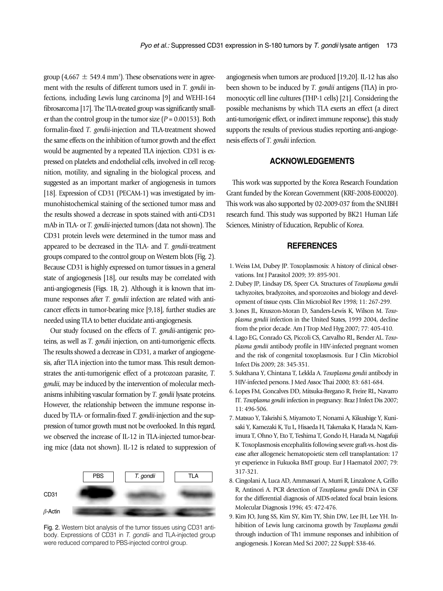group (4,667  $\pm$  549.4 mm<sup>3</sup>). These observations were in agreement with the results of different tumors used in *T. gondii* infections, including Lewis lung carcinoma [9] and WEHI-164 fibrosarcoma [17]. The TLA-treated group was significantly smaller than the control group in the tumor size  $(P = 0.00153)$ . Both formalin-fixed *T. gondii*-injection and TLA-treatment showed the same effects on the inhibition of tumor growth and the effect would be augmented by a repeated TLA injection. CD31 is expressed on platelets and endothelial cells, involved in cell recognition, motility, and signaling in the biological process, and suggested as an important marker of angiogenesis in tumors [18]. Expression of CD31 (PECAM-1) was investigated by immunohistochemical staining of the sectioned tumor mass and the results showed a decrease in spots stained with anti-CD31 mAb in TLA- or *T. gondii*-injected tumors (data not shown). The CD31 protein levels were determined in the tumor mass and appeared to be decreased in the TLA- and *T. gondii*-treatment groups compared to the control group on Western blots (Fig. 2). Because CD31 is highly expressed on tumor tissues in a general state of angiogenesis [18], our results may be correlated with anti-angiogenesis (Figs. 1B, 2). Although it is known that immune responses after *T. gondii* infection are related with anticancer effects in tumor-bearing mice [9,18], further studies are needed using TLA to better elucidate anti-angiogenesis.

Our study focused on the effects of *T. gondii*-antigenic proteins, as well as *T. gondii* injection, on anti-tumorigenic effects. The results showed a decrease in CD31, a marker of angiogenesis, after TLA injection into the tumor mass. This result demonstrates the anti-tumorigenic effect of a protozoan parasite, *T. gondii*, may be induced by the intervention of molecular mechanisms inhibiting vascular formation by *T. gondii* lysate proteins. However, the relationship between the immune response induced by TLA- or formalin-fixed *T. gondii*-injection and the suppression of tumor growth must not be overlooked. In this regard, we observed the increase of IL-12 in TLA-injected tumor-bearing mice (data not shown). IL-12 is related to suppression of



Fig. 2. Western blot analysis of the tumor tissues using CD31 antibody. Expressions of CD31 in *T. gondii*- and TLA-injected group were reduced compared to PBS-injected control group.

angiogenesis when tumors are produced [19,20]. IL-12 has also been shown to be induced by *T. gondii* antigens (TLA) in promonocytic cell line cultures (THP-1 cells) [21]. Considering the possible mechanisms by which TLA exerts an effect (a direct anti-tumorigenic effect, or indirect immune response), this study supports the results of previous studies reporting anti-angiogenesis effects of *T. gondii* infection.

## **ACKNOWLEDGEMENTS**

This work was supported by the Korea Research Foundation Grant funded by the Korean Government (KRF-2008-E00020). This work was also supported by 02-2009-037 from the SNUBH research fund. This study was supported by BK21 Human Life Sciences, Ministry of Education, Republic of Korea.

## **REFERENCES**

- 1. Weiss LM, Dubey JP. Toxoplasmosis: A history of clinical observations. Int J Parasitol 2009; 39: 895-901.
- 2. Dubey JP, Lindsay DS, Speer CA. Structures of *Toxoplasma gondii* tachyzoites, bradyzoites, and sporozoites and biology and development of tissue cysts. Clin Microbiol Rev 1998; 11: 267-299.
- 3. Jones JL, Kruszon-Moran D, Sanders-Lewis K, Wilson M. *Toxoplasma gondii* infection in the United States, 1999 2004, decline from the prior decade. Am J Trop Med Hyg 2007; 77: 405-410.
- 4. Lago EG, Conrado GS, Piccoli CS, Carvalho RL, Bender AL. *Toxoplasma gondii* antibody profile in HIV-infected pregnant women and the risk of congenital toxoplasmosis. Eur J Clin Microbiol Infect Dis 2009; 28: 345-351.
- 5. Sukthana Y, Chintana T, Lekkla A. *Toxoplasma gondii* antibody in HIV-infected persons. J Med Assoc Thai 2000; 83: 681-684.
- 6. Lopes FM, Goncalves DD, Mitsuka-Bregano R, Freire RL, Navarro IT. *Toxoplasma gondii* infection in pregnancy. Braz J Infect Dis 2007; 11: 496-506.
- 7. Matsuo Y, Takeishi S, Miyamoto T, Nonami A, Kikushige Y, Kunisaki Y, Kamezaki K, Tu L, Hisaeda H, Takenaka K, Harada N, Kamimura T, Ohno Y, Eto T, Teshima T, Gondo H, Harada M, Nagafuji K. Toxoplasmosis encephalitis following severe graft-vs.-host disease after allogeneic hematopoietic stem cell transplantation: 17 yr experience in Fukuoka BMT group. Eur J Haematol 2007; 79: 317-321.
- 8. Cingolani A, Luca AD, Ammassari A, Murri R, Linzalone A, Grillo R, Antinori A. PCR detection of *Toxoplasma gondii* DNA in CSF for the differential diagnosis of AIDS-related focal brain lesions. Molecular Diagnosis 1996; 45: 472-476.
- 9. Kim JO, Jung SS, Kim SY, Kim TY, Shin DW, Lee JH, Lee YH. Inhibition of Lewis lung carcinoma growth by *Toxoplasma gondii* through induction of Th1 immune responses and inhibition of angiogenesis. J Korean Med Sci 2007; 22 Suppl: S38-46.